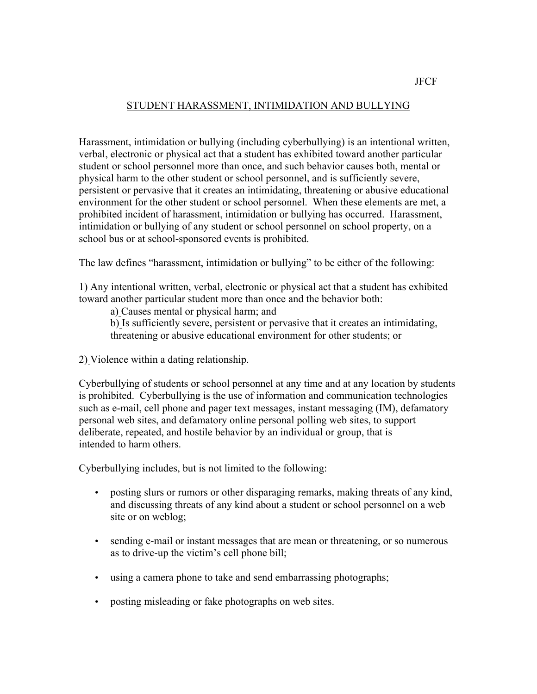## STUDENT HARASSMENT, INTIMIDATION AND BULLYING

school bus or at school-sponsored events is prohibited. Harassment, intimidation or bullying (including cyberbullying) is an intentional written, verbal, electronic or physical act that a student has exhibited toward another particular student or school personnel more than once, and such behavior causes both, mental or physical harm to the other student or school personnel, and is sufficiently severe, persistent or pervasive that it creates an intimidating, threatening or abusive educational environment for the other student or school personnel. When these elements are met, a prohibited incident of harassment, intimidation or bullying has occurred. Harassment, intimidation or bullying of any student or school personnel on school property, on a

The law defines "harassment, intimidation or bullying" to be either of the following:

 toward another particular student more than once and the behavior both: 1) Any intentional written, verbal, electronic or physical act that a student has exhibited

a) Causes mental or physical harm; and

b) Is sufficiently severe, persistent or pervasive that it creates an intimidating, threatening or abusive educational environment for other students; or

2) Violence within a dating relationship.

 intended to harm others. Cyberbullying of students or school personnel at any time and at any location by students is prohibited. Cyberbullying is the use of information and communication technologies such as e-mail, cell phone and pager text messages, instant messaging (IM), defamatory personal web sites, and defamatory online personal polling web sites, to support deliberate, repeated, and hostile behavior by an individual or group, that is

Cyberbullying includes, but is not limited to the following:

- posting slurs or rumors or other disparaging remarks, making threats of any kind, and discussing threats of any kind about a student or school personnel on a web site or on weblog;
- sending e-mail or instant messages that are mean or threatening, or so numerous as to drive-up the victim's cell phone bill;
- using a camera phone to take and send embarrassing photographs;
- posting misleading or fake photographs on web sites.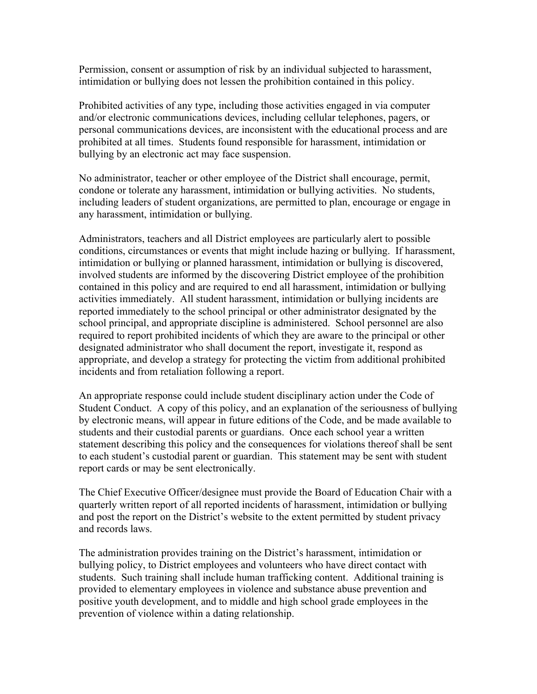Permission, consent or assumption of risk by an individual subjected to harassment, intimidation or bullying does not lessen the prohibition contained in this policy.

Prohibited activities of any type, including those activities engaged in via computer and/or electronic communications devices, including cellular telephones, pagers, or personal communications devices, are inconsistent with the educational process and are prohibited at all times. Students found responsible for harassment, intimidation or bullying by an electronic act may face suspension.

No administrator, teacher or other employee of the District shall encourage, permit, condone or tolerate any harassment, intimidation or bullying activities. No students, including leaders of student organizations, are permitted to plan, encourage or engage in any harassment, intimidation or bullying.

Administrators, teachers and all District employees are particularly alert to possible conditions, circumstances or events that might include hazing or bullying. If harassment, intimidation or bullying or planned harassment, intimidation or bullying is discovered, involved students are informed by the discovering District employee of the prohibition contained in this policy and are required to end all harassment, intimidation or bullying activities immediately. All student harassment, intimidation or bullying incidents are reported immediately to the school principal or other administrator designated by the school principal, and appropriate discipline is administered. School personnel are also required to report prohibited incidents of which they are aware to the principal or other designated administrator who shall document the report, investigate it, respond as appropriate, and develop a strategy for protecting the victim from additional prohibited incidents and from retaliation following a report.

 students and their custodial parents or guardians. Once each school year a written An appropriate response could include student disciplinary action under the Code of Student Conduct. A copy of this policy, and an explanation of the seriousness of bullying by electronic means, will appear in future editions of the Code, and be made available to statement describing this policy and the consequences for violations thereof shall be sent to each student's custodial parent or guardian. This statement may be sent with student report cards or may be sent electronically.

The Chief Executive Officer/designee must provide the Board of Education Chair with a quarterly written report of all reported incidents of harassment, intimidation or bullying and post the report on the District's website to the extent permitted by student privacy and records laws.

 students. Such training shall include human trafficking content. Additional training is The administration provides training on the District's harassment, intimidation or bullying policy, to District employees and volunteers who have direct contact with provided to elementary employees in violence and substance abuse prevention and positive youth development, and to middle and high school grade employees in the prevention of violence within a dating relationship.